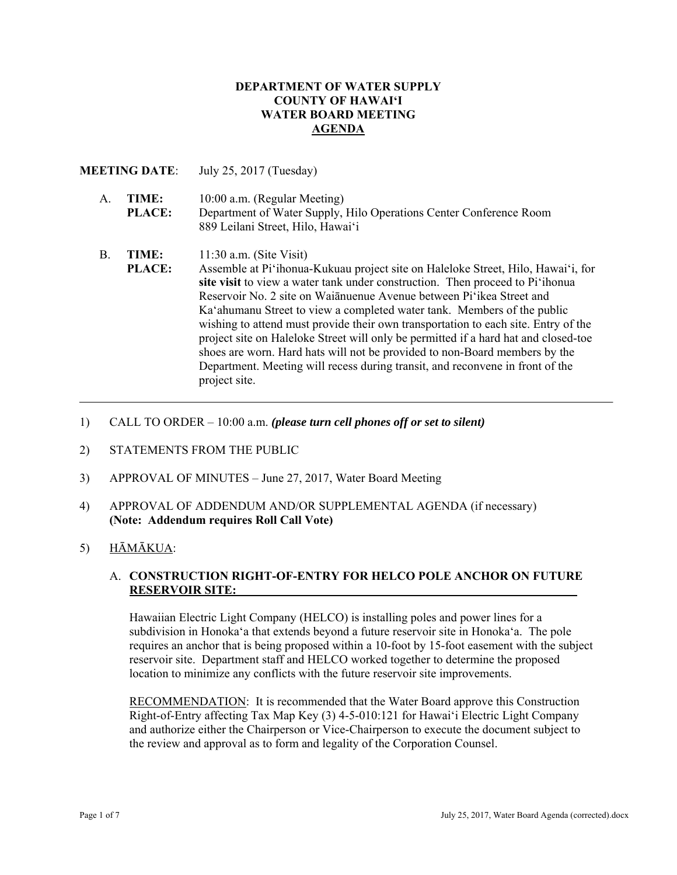### **DEPARTMENT OF WATER SUPPLY COUNTY OF HAWAI'I WATER BOARD MEETING AGENDA**

**MEETING DATE:** July 25, 2017 (Tuesday)

- TIME: A. **TIME:** 10:00 a.m. (Regular Meeting) **PLACE:** Department of Water Supply, Hilo Operations Center Conference Room 889 Leilani Street, Hilo, Hawai'i
- B. **TIME:** 11:30 a.m. (Site Visit) **PLACE:** Assemble at Pi'ihonua-Kukuau project site on Haleloke Street, Hilo, Hawai'i, for **site visit** to view a water tank under construction. Then proceed to Pi'ihonua Reservoir No. 2 site on Waiānuenue Avenue between Piʻikea Street and Kaʻahumanu Street to view a completed water tank. Members of the public wishing to attend must provide their own transportation to each site. Entry of the project site on Haleloke Street will only be permitted if a hard hat and closed-toe shoes are worn. Hard hats will not be provided to non-Board members by the Department. Meeting will recess during transit, and reconvene in front of the project site.
- 1) CALL TO ORDER 10:00 a.m. *(please turn cell phones off or set to silent)*
- 2) STATEMENTS FROM THE PUBLIC
- 3) APPROVAL OF MINUTES June 27, 2017, Water Board Meeting
- 4) APPROVAL OF ADDENDUM AND/OR SUPPLEMENTAL AGENDA (if necessary) **(Note: Addendum requires Roll Call Vote)**
- 5) HĀMĀKUA:

## A. **CONSTRUCTION RIGHT-OF-ENTRY FOR HELCO POLE ANCHOR ON FUTURE RESERVOIR SITE:**

Hawaiian Electric Light Company (HELCO) is installing poles and power lines for a subdivision in Honoka'a that extends beyond a future reservoir site in Honoka'a. The pole requires an anchor that is being proposed within a 10-foot by 15-foot easement with the subject reservoir site. Department staff and HELCO worked together to determine the proposed location to minimize any conflicts with the future reservoir site improvements.

RECOMMENDATION: It is recommended that the Water Board approve this Construction Right-of-Entry affecting Tax Map Key (3) 4-5-010:121 for Hawai'i Electric Light Company and authorize either the Chairperson or Vice-Chairperson to execute the document subject to the review and approval as to form and legality of the Corporation Counsel.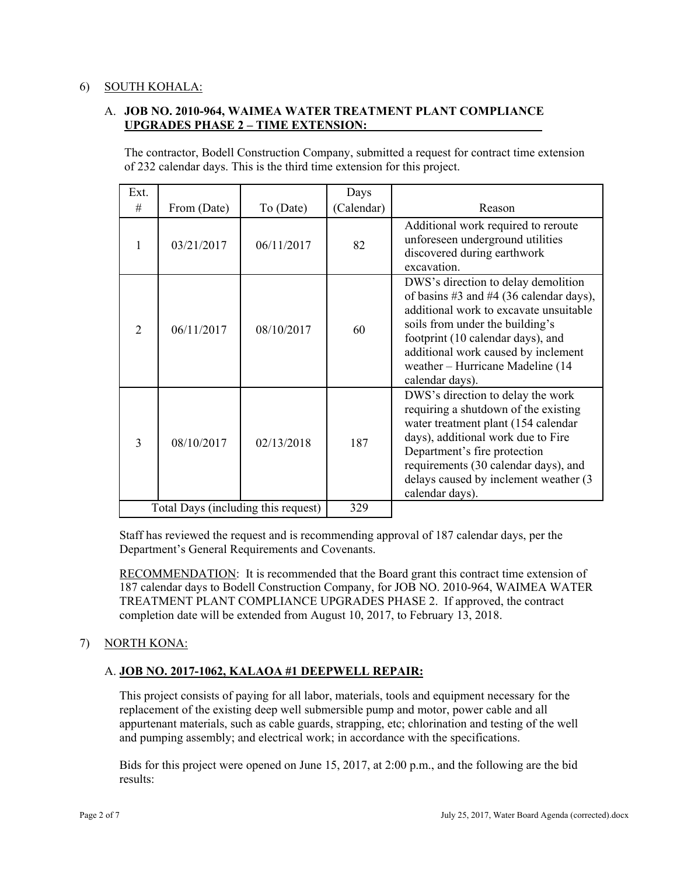## 6) SOUTH KOHALA:

### A. **JOB NO. 2010-964, WAIMEA WATER TREATMENT PLANT COMPLIANCE UPGRADES PHASE 2 – TIME EXTENSION:**

The contractor, Bodell Construction Company, submitted a request for contract time extension of 232 calendar days. This is the third time extension for this project.

| Ext.                                |             |            | Days       |                                                                                                                                                                                                                                                                                                |
|-------------------------------------|-------------|------------|------------|------------------------------------------------------------------------------------------------------------------------------------------------------------------------------------------------------------------------------------------------------------------------------------------------|
| #                                   | From (Date) | To (Date)  | (Calendar) | Reason                                                                                                                                                                                                                                                                                         |
|                                     | 03/21/2017  | 06/11/2017 | 82         | Additional work required to reroute<br>unforeseen underground utilities<br>discovered during earthwork<br>excavation.                                                                                                                                                                          |
| $\mathfrak{D}$                      | 06/11/2017  | 08/10/2017 | 60         | DWS's direction to delay demolition<br>of basins #3 and #4 (36 calendar days),<br>additional work to excavate unsuitable<br>soils from under the building's<br>footprint (10 calendar days), and<br>additional work caused by inclement<br>weather - Hurricane Madeline (14<br>calendar days). |
| 3                                   | 08/10/2017  | 02/13/2018 | 187        | DWS's direction to delay the work<br>requiring a shutdown of the existing<br>water treatment plant (154 calendar<br>days), additional work due to Fire<br>Department's fire protection<br>requirements (30 calendar days), and<br>delays caused by inclement weather (3)<br>calendar days).    |
| Total Days (including this request) |             | 329        |            |                                                                                                                                                                                                                                                                                                |

Staff has reviewed the request and is recommending approval of 187 calendar days, per the Department's General Requirements and Covenants.

RECOMMENDATION: It is recommended that the Board grant this contract time extension of 187 calendar days to Bodell Construction Company, for JOB NO. 2010-964, WAIMEA WATER TREATMENT PLANT COMPLIANCE UPGRADES PHASE 2. If approved, the contract completion date will be extended from August 10, 2017, to February 13, 2018.

# 7) NORTH KONA:

### A. **JOB NO. 2017-1062, KALAOA #1 DEEPWELL REPAIR:**

This project consists of paying for all labor, materials, tools and equipment necessary for the replacement of the existing deep well submersible pump and motor, power cable and all appurtenant materials, such as cable guards, strapping, etc; chlorination and testing of the well and pumping assembly; and electrical work; in accordance with the specifications.

Bids for this project were opened on June 15, 2017, at 2:00 p.m., and the following are the bid results: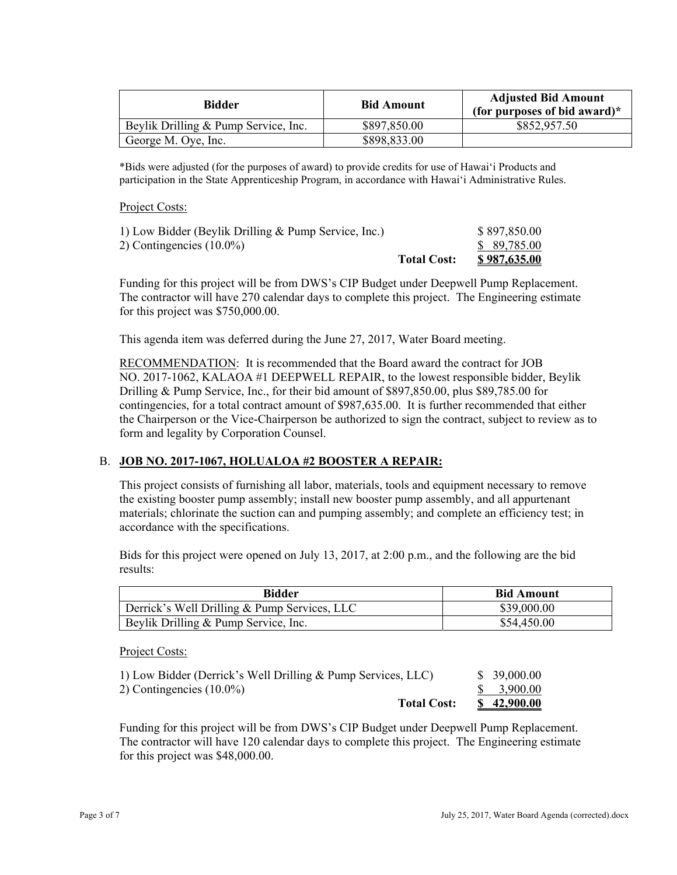| Bidder                               | <b>Bid Amount</b> | <b>Adjusted Bid Amount</b><br>(for purposes of bid award) $*$ |
|--------------------------------------|-------------------|---------------------------------------------------------------|
| Beylik Drilling & Pump Service, Inc. | \$897,850.00      | \$852,957.50                                                  |
| George M. Oye, Inc.                  | \$898,833.00      |                                                               |

\*Bids were adjusted (for the purposes of award) to provide credits for use of Hawai'i Products and participation in the State Apprenticeship Program, in accordance with Hawai'i Administrative Rules.

#### Project Costs:

| 1) Low Bidder (Beylik Drilling & Pump Service, Inc.) |                    | \$897,850.00 |
|------------------------------------------------------|--------------------|--------------|
| 2) Contingencies $(10.0\%)$                          |                    | \$ 89.785.00 |
|                                                      | <b>Total Cost:</b> | \$987,635.00 |

Funding for this project will be from DWS's CIP Budget under Deepwell Pump Replacement. The contractor will have 270 calendar days to complete this project. The Engineering estimate for this project was \$750,000.00.

This agenda item was deferred during the June 27, 2017, Water Board meeting.

RECOMMENDATION: It is recommended that the Board award the contract for JOB NO. 2017-1062, KALAOA #1 DEEPWELL REPAIR, to the lowest responsible bidder, Beylik Drilling & Pump Service, Inc., for their bid amount of \$897,850.00, plus \$89,785.00 for contingencies, for a total contract amount of \$987,635.00. It is further recommended that either the Chairperson or the Vice-Chairperson be authorized to sign the contract, subject to review as to form and legality by Corporation Counsel.

### B. **JOB NO. 2017-1067, HOLUALOA #2 BOOSTER A REPAIR:**

This project consists of furnishing all labor, materials, tools and equipment necessary to remove the existing booster pump assembly; install new booster pump assembly, and all appurtenant materials; chlorinate the suction can and pumping assembly; and complete an efficiency test; in accordance with the specifications.

Bids for this project were opened on July 13, 2017, at 2:00 p.m., and the following are the bid results:

| <b>Bidder</b>                                | <b>Bid Amount</b> |
|----------------------------------------------|-------------------|
| Derrick's Well Drilling & Pump Services, LLC | \$39,000.00       |
| Beylik Drilling & Pump Service, Inc.         | \$54,450.00       |

#### Project Costs:

| 1) Low Bidder (Derrick's Well Drilling & Pump Services, LLC) | \$39,000.00 |
|--------------------------------------------------------------|-------------|
| 2) Contingencies $(10.0\%)$                                  | \$ 3.900.00 |
| <b>Total Cost:</b>                                           | \$42,900.00 |

Funding for this project will be from DWS's CIP Budget under Deepwell Pump Replacement. The contractor will have 120 calendar days to complete this project. The Engineering estimate for this project was \$48,000.00.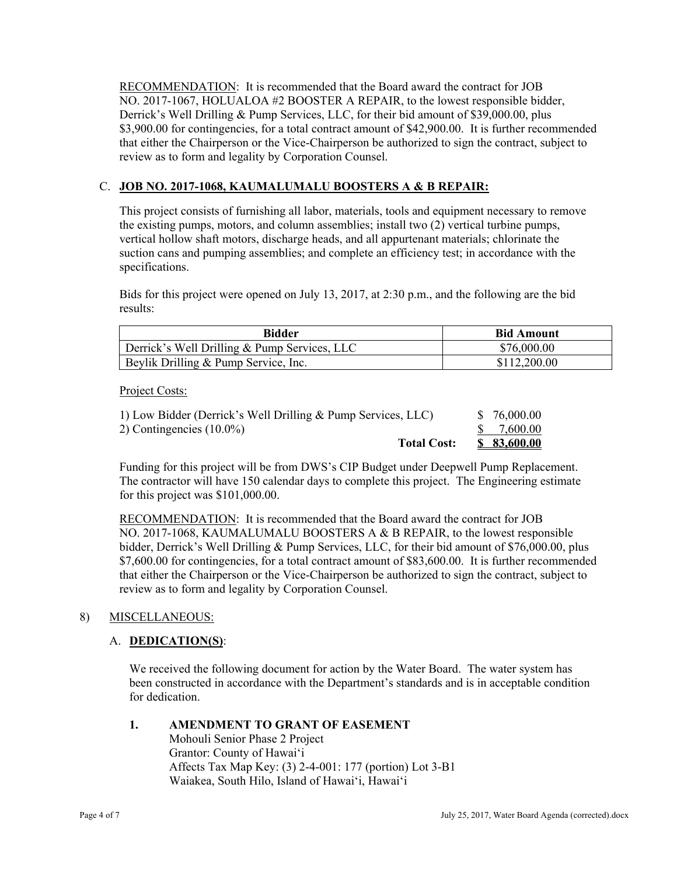RECOMMENDATION: It is recommended that the Board award the contract for JOB NO. 2017-1067, HOLUALOA #2 BOOSTER A REPAIR, to the lowest responsible bidder, Derrick's Well Drilling & Pump Services, LLC, for their bid amount of \$39,000.00, plus \$3,900.00 for contingencies, for a total contract amount of \$42,900.00. It is further recommended that either the Chairperson or the Vice-Chairperson be authorized to sign the contract, subject to review as to form and legality by Corporation Counsel.

# C. **JOB NO. 2017-1068, KAUMALUMALU BOOSTERS A & B REPAIR:**

This project consists of furnishing all labor, materials, tools and equipment necessary to remove the existing pumps, motors, and column assemblies; install two (2) vertical turbine pumps, vertical hollow shaft motors, discharge heads, and all appurtenant materials; chlorinate the suction cans and pumping assemblies; and complete an efficiency test; in accordance with the specifications.

Bids for this project were opened on July 13, 2017, at 2:30 p.m., and the following are the bid results:

| <b>Bidder</b>                                | <b>Bid Amount</b> |
|----------------------------------------------|-------------------|
| Derrick's Well Drilling & Pump Services, LLC | \$76,000.00       |
| Beylik Drilling & Pump Service, Inc.         | \$112,200.00      |

## Project Costs:

| 1) Low Bidder (Derrick's Well Drilling & Pump Services, LLC) | \$76,000.00  |
|--------------------------------------------------------------|--------------|
| 2) Contingencies $(10.0\%)$                                  | \$ 7.600.00  |
| <b>Total Cost:</b>                                           | \$ 83,600.00 |

Funding for this project will be from DWS's CIP Budget under Deepwell Pump Replacement. The contractor will have 150 calendar days to complete this project. The Engineering estimate for this project was \$101,000.00.

RECOMMENDATION: It is recommended that the Board award the contract for JOB NO. 2017-1068, KAUMALUMALU BOOSTERS A & B REPAIR, to the lowest responsible bidder, Derrick's Well Drilling & Pump Services, LLC, for their bid amount of \$76,000.00, plus \$7,600.00 for contingencies, for a total contract amount of \$83,600.00. It is further recommended that either the Chairperson or the Vice-Chairperson be authorized to sign the contract, subject to review as to form and legality by Corporation Counsel.

# 8) MISCELLANEOUS:

# A. **DEDICATION(S)**:

We received the following document for action by the Water Board. The water system has been constructed in accordance with the Department's standards and is in acceptable condition for dedication.

### **1. AMENDMENT TO GRANT OF EASEMENT**

Mohouli Senior Phase 2 Project Grantor: County of Hawai'i Affects Tax Map Key: (3) 2-4-001: 177 (portion) Lot 3-B1 Waiakea, South Hilo, Island of Hawai'i, Hawai'i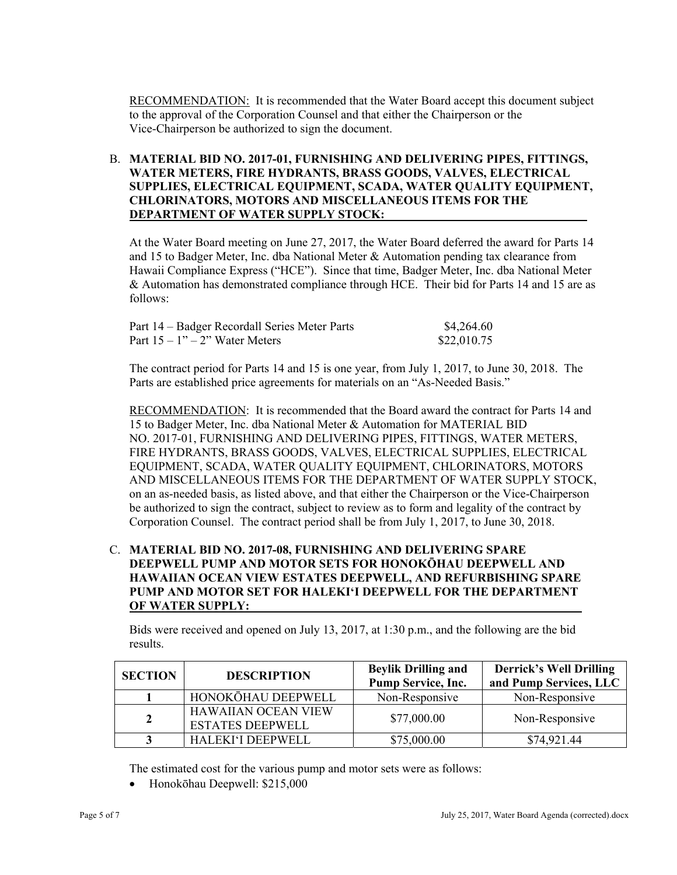RECOMMENDATION: It is recommended that the Water Board accept this document subject to the approval of the Corporation Counsel and that either the Chairperson or the Vice-Chairperson be authorized to sign the document.

## B. MATERIAL BID NO. 2017-01, FURNISHING AND DELIVERING PIPES, FITTINGS, **WATER METERS, FIRE HYDRANTS, BRASS GOODS, VALVES, ELECTRICAL SUPPLIES, ELECTRICAL EQUIPMENT, SCADA, WATER QUALITY EQUIPMENT, CHLORINATORS, MOTORS AND MISCELLANEOUS ITEMS FOR THE DEPARTMENT OF WATER SUPPLY STOCK:**

At the Water Board meeting on June 27, 2017, the Water Board deferred the award for Parts 14 and 15 to Badger Meter, Inc. dba National Meter & Automation pending tax clearance from Hawaii Compliance Express ("HCE"). Since that time, Badger Meter, Inc. dba National Meter & Automation has demonstrated compliance through HCE. Their bid for Parts 14 and 15 are as follows:

| Part 14 – Badger Recordall Series Meter Parts | \$4,264.60  |
|-----------------------------------------------|-------------|
| Part $15 - 1" - 2"$ Water Meters              | \$22,010.75 |

The contract period for Parts 14 and 15 is one year, from July 1, 2017, to June 30, 2018. The Parts are established price agreements for materials on an "As-Needed Basis."

RECOMMENDATION: It is recommended that the Board award the contract for Parts 14 and 15 to Badger Meter, Inc. dba National Meter & Automation for MATERIAL BID NO. 2017-01, FURNISHING AND DELIVERING PIPES, FITTINGS, WATER METERS, FIRE HYDRANTS, BRASS GOODS, VALVES, ELECTRICAL SUPPLIES, ELECTRICAL EQUIPMENT, SCADA, WATER QUALITY EQUIPMENT, CHLORINATORS, MOTORS AND MISCELLANEOUS ITEMS FOR THE DEPARTMENT OF WATER SUPPLY STOCK, on an as-needed basis, as listed above, and that either the Chairperson or the Vice-Chairperson be authorized to sign the contract, subject to review as to form and legality of the contract by Corporation Counsel. The contract period shall be from July 1, 2017, to June 30, 2018.

### C. **MATERIAL BID NO. 2017-08, FURNISHING AND DELIVERING SPARE DEEPWELL PUMP AND MOTOR SETS FOR HONOKŌHAU DEEPWELL AND HAWAIIAN OCEAN VIEW ESTATES DEEPWELL, AND REFURBISHING SPARE PUMP AND MOTOR SET FOR HALEKI'I DEEPWELL FOR THE DEPARTMENT OF WATER SUPPLY:**

Bids were received and opened on July 13, 2017, at 1:30 p.m., and the following are the bid results.

| <b>SECTION</b> | <b>DESCRIPTION</b>                                    | <b>Beylik Drilling and</b><br>Pump Service, Inc. | <b>Derrick's Well Drilling</b><br>and Pump Services, LLC |
|----------------|-------------------------------------------------------|--------------------------------------------------|----------------------------------------------------------|
|                | HONOKŌHAU DEEPWELL                                    | Non-Responsive                                   | Non-Responsive                                           |
| $\mathbf{2}$   | <b>HAWAIIAN OCEAN VIEW</b><br><b>ESTATES DEEPWELL</b> | \$77,000.00                                      | Non-Responsive                                           |
|                | HALEKI'I DEEPWELL                                     | \$75,000.00                                      | \$74,921.44                                              |

The estimated cost for the various pump and motor sets were as follows:

• Honokōhau Deepwell: \$215,000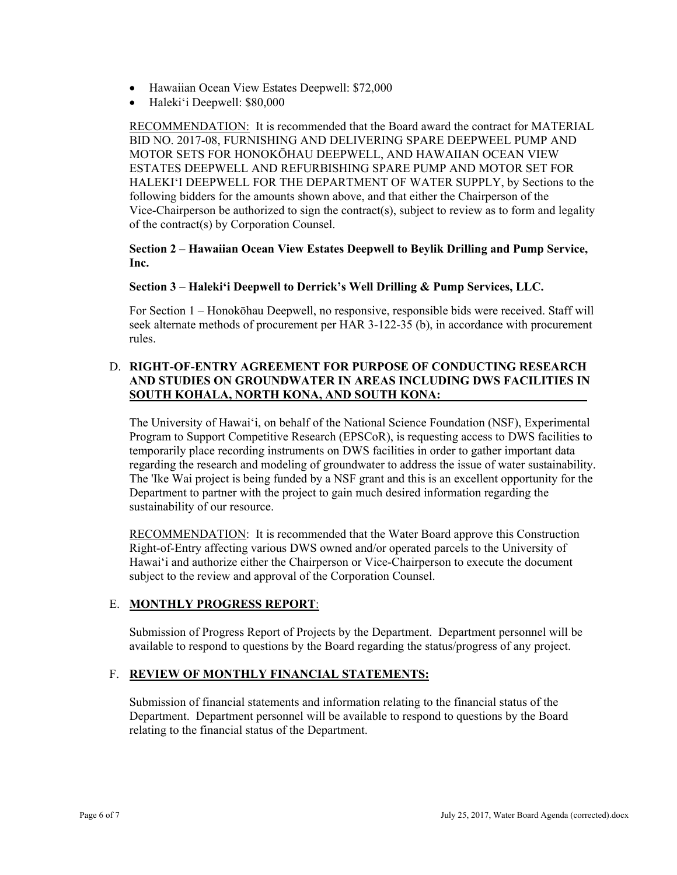- Hawaiian Ocean View Estates Deepwell: \$72,000
- Haleki'i Deepwell: \$80,000

RECOMMENDATION: It is recommended that the Board award the contract for MATERIAL BID NO. 2017-08, FURNISHING AND DELIVERING SPARE DEEPWEEL PUMP AND MOTOR SETS FOR HONOKŌHAU DEEPWELL, AND HAWAIIAN OCEAN VIEW ESTATES DEEPWELL AND REFURBISHING SPARE PUMP AND MOTOR SET FOR HALEKI'I DEEPWELL FOR THE DEPARTMENT OF WATER SUPPLY, by Sections to the following bidders for the amounts shown above, and that either the Chairperson of the Vice-Chairperson be authorized to sign the contract(s), subject to review as to form and legality of the contract(s) by Corporation Counsel.

## **Section 2 – Hawaiian Ocean View Estates Deepwell to Beylik Drilling and Pump Service, Inc.**

### **Section 3 – Haleki'i Deepwell to Derrick's Well Drilling & Pump Services, LLC.**

For Section 1 – Honokōhau Deepwell, no responsive, responsible bids were received. Staff will seek alternate methods of procurement per HAR 3-122-35 (b), in accordance with procurement rules.

### D. **RIGHT-OF-ENTRY AGREEMENT FOR PURPOSE OF CONDUCTING RESEARCH AND STUDIES ON GROUNDWATER IN AREAS INCLUDING DWS FACILITIES IN SOUTH KOHALA, NORTH KONA, AND SOUTH KONA:**

The University of Hawai'i, on behalf of the National Science Foundation (NSF), Experimental Program to Support Competitive Research (EPSCoR), is requesting access to DWS facilities to temporarily place recording instruments on DWS facilities in order to gather important data regarding the research and modeling of groundwater to address the issue of water sustainability. The 'Ike Wai project is being funded by a NSF grant and this is an excellent opportunity for the Department to partner with the project to gain much desired information regarding the sustainability of our resource.

RECOMMENDATION: It is recommended that the Water Board approve this Construction Right-of-Entry affecting various DWS owned and/or operated parcels to the University of Hawai'i and authorize either the Chairperson or Vice-Chairperson to execute the document subject to the review and approval of the Corporation Counsel.

# E. **MONTHLY PROGRESS REPORT**:

Submission of Progress Report of Projects by the Department. Department personnel will be available to respond to questions by the Board regarding the status/progress of any project.

# F. **REVIEW OF MONTHLY FINANCIAL STATEMENTS:**

Submission of financial statements and information relating to the financial status of the Department. Department personnel will be available to respond to questions by the Board relating to the financial status of the Department.